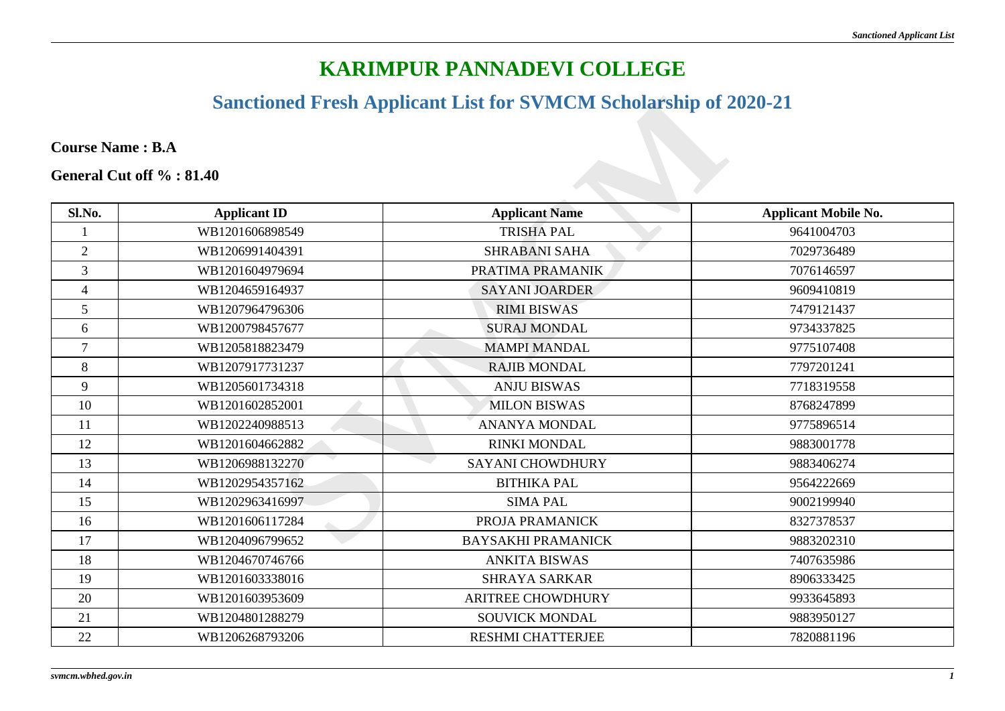## **KARIMPUR PANNADEVI COLLEGE**

## **Sanctioned Fresh Applicant List for SVMCM Scholarship of 2020-21**

|                |                          | <b>Sanctioned Fresh Applicant List for SVMCM Scholarship of 2020-21</b> |                             |
|----------------|--------------------------|-------------------------------------------------------------------------|-----------------------------|
|                | <b>Course Name: B.A</b>  |                                                                         |                             |
|                | General Cut off %: 81.40 |                                                                         |                             |
| Sl.No.         | <b>Applicant ID</b>      | <b>Applicant Name</b>                                                   | <b>Applicant Mobile No.</b> |
|                | WB1201606898549          | <b>TRISHA PAL</b>                                                       | 9641004703                  |
| $\overline{2}$ | WB1206991404391          | <b>SHRABANI SAHA</b>                                                    | 7029736489                  |
| $\overline{3}$ | WB1201604979694          | PRATIMA PRAMANIK                                                        | 7076146597                  |
| $\overline{4}$ | WB1204659164937          | <b>SAYANI JOARDER</b>                                                   | 9609410819                  |
| 5              | WB1207964796306          | <b>RIMI BISWAS</b>                                                      | 7479121437                  |
| 6              | WB1200798457677          | <b>SURAJ MONDAL</b>                                                     | 9734337825                  |
| $\tau$         | WB1205818823479          | <b>MAMPI MANDAL</b>                                                     | 9775107408                  |
| 8              | WB1207917731237          | <b>RAJIB MONDAL</b>                                                     | 7797201241                  |
| 9              | WB1205601734318          | <b>ANJU BISWAS</b>                                                      | 7718319558                  |
| 10             | WB1201602852001          | <b>MILON BISWAS</b>                                                     | 8768247899                  |
| 11             | WB1202240988513          | <b>ANANYA MONDAL</b>                                                    | 9775896514                  |
| 12             | WB1201604662882          | <b>RINKI MONDAL</b>                                                     | 9883001778                  |
| 13             | WB1206988132270          | <b>SAYANI CHOWDHURY</b>                                                 | 9883406274                  |
| 14             | WB1202954357162          | <b>BITHIKA PAL</b>                                                      | 9564222669                  |
| 15             | WB1202963416997          | <b>SIMA PAL</b>                                                         | 9002199940                  |
| 16             | WB1201606117284          | PROJA PRAMANICK                                                         | 8327378537                  |
| 17             | WB1204096799652          | <b>BAYSAKHI PRAMANICK</b>                                               | 9883202310                  |
| 18             | WB1204670746766          | <b>ANKITA BISWAS</b>                                                    | 7407635986                  |
| 19             | WB1201603338016          | <b>SHRAYA SARKAR</b>                                                    | 8906333425                  |
| 20             | WB1201603953609          | <b>ARITREE CHOWDHURY</b>                                                | 9933645893                  |
| 21             | WB1204801288279          | <b>SOUVICK MONDAL</b>                                                   | 9883950127                  |
| 22             | WB1206268793206          | <b>RESHMI CHATTERJEE</b>                                                | 7820881196                  |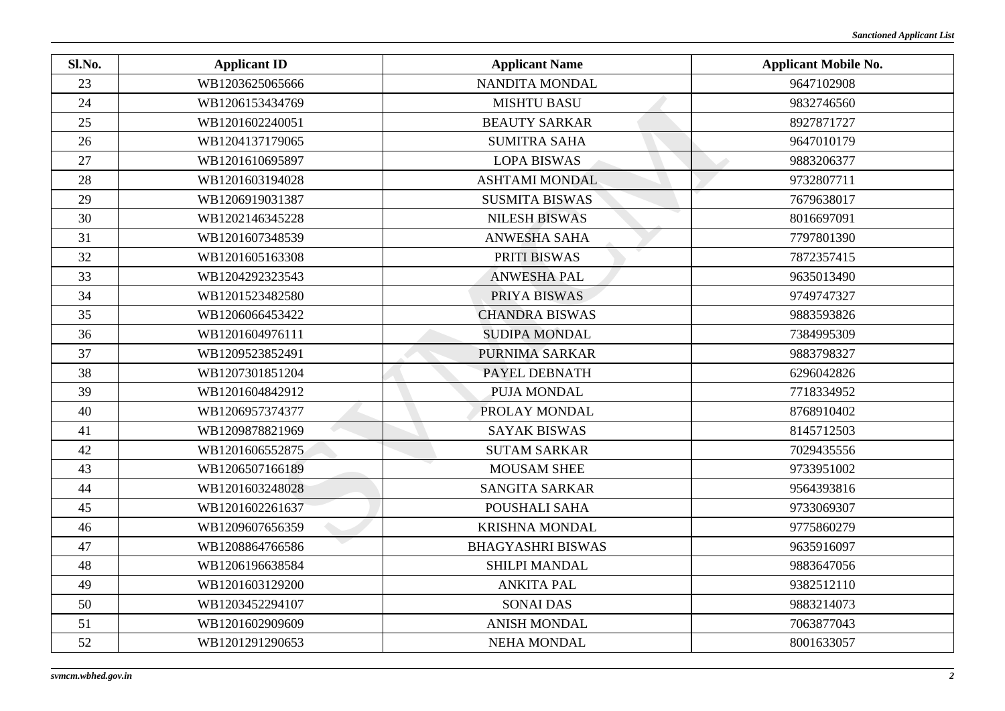| Sl.No. | <b>Applicant ID</b> | <b>Applicant Name</b>    | <b>Applicant Mobile No.</b> |
|--------|---------------------|--------------------------|-----------------------------|
| 23     | WB1203625065666     | NANDITA MONDAL           | 9647102908                  |
| 24     | WB1206153434769     | <b>MISHTU BASU</b>       | 9832746560                  |
| 25     | WB1201602240051     | <b>BEAUTY SARKAR</b>     | 8927871727                  |
| 26     | WB1204137179065     | <b>SUMITRA SAHA</b>      | 9647010179                  |
| 27     | WB1201610695897     | <b>LOPA BISWAS</b>       | 9883206377                  |
| 28     | WB1201603194028     | <b>ASHTAMI MONDAL</b>    | 9732807711                  |
| 29     | WB1206919031387     | <b>SUSMITA BISWAS</b>    | 7679638017                  |
| 30     | WB1202146345228     | <b>NILESH BISWAS</b>     | 8016697091                  |
| 31     | WB1201607348539     | <b>ANWESHA SAHA</b>      | 7797801390                  |
| 32     | WB1201605163308     | PRITI BISWAS             | 7872357415                  |
| 33     | WB1204292323543     | <b>ANWESHA PAL</b>       | 9635013490                  |
| 34     | WB1201523482580     | PRIYA BISWAS             | 9749747327                  |
| 35     | WB1206066453422     | <b>CHANDRA BISWAS</b>    | 9883593826                  |
| 36     | WB1201604976111     | <b>SUDIPA MONDAL</b>     | 7384995309                  |
| 37     | WB1209523852491     | PURNIMA SARKAR           | 9883798327                  |
| 38     | WB1207301851204     | PAYEL DEBNATH            | 6296042826                  |
| 39     | WB1201604842912     | PUJA MONDAL              | 7718334952                  |
| 40     | WB1206957374377     | PROLAY MONDAL            | 8768910402                  |
| 41     | WB1209878821969     | <b>SAYAK BISWAS</b>      | 8145712503                  |
| 42     | WB1201606552875     | <b>SUTAM SARKAR</b>      | 7029435556                  |
| 43     | WB1206507166189     | <b>MOUSAM SHEE</b>       | 9733951002                  |
| 44     | WB1201603248028     | <b>SANGITA SARKAR</b>    | 9564393816                  |
| 45     | WB1201602261637     | POUSHALI SAHA            | 9733069307                  |
| 46     | WB1209607656359     | <b>KRISHNA MONDAL</b>    | 9775860279                  |
| 47     | WB1208864766586     | <b>BHAGYASHRI BISWAS</b> | 9635916097                  |
| 48     | WB1206196638584     | <b>SHILPI MANDAL</b>     | 9883647056                  |
| 49     | WB1201603129200     | <b>ANKITA PAL</b>        | 9382512110                  |
| 50     | WB1203452294107     | <b>SONAI DAS</b>         | 9883214073                  |
| 51     | WB1201602909609     | <b>ANISH MONDAL</b>      | 7063877043                  |
| 52     | WB1201291290653     | <b>NEHA MONDAL</b>       | 8001633057                  |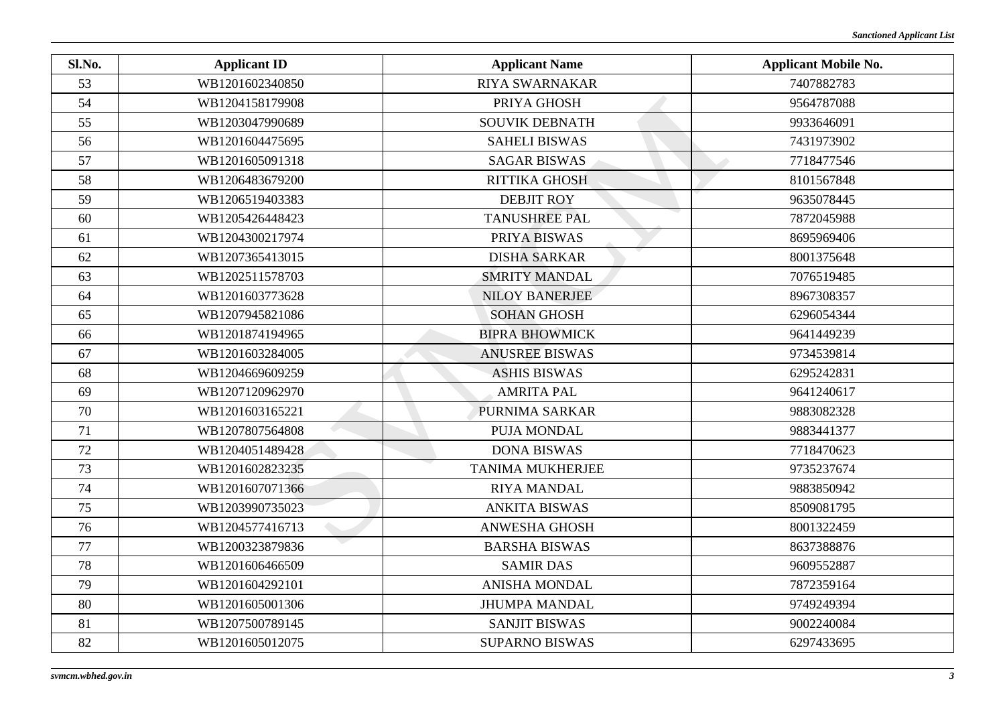| Sl.No. | <b>Applicant ID</b> | <b>Applicant Name</b>   | <b>Applicant Mobile No.</b> |
|--------|---------------------|-------------------------|-----------------------------|
| 53     | WB1201602340850     | <b>RIYA SWARNAKAR</b>   | 7407882783                  |
| 54     | WB1204158179908     | PRIYA GHOSH             | 9564787088                  |
| 55     | WB1203047990689     | <b>SOUVIK DEBNATH</b>   | 9933646091                  |
| 56     | WB1201604475695     | <b>SAHELI BISWAS</b>    | 7431973902                  |
| 57     | WB1201605091318     | <b>SAGAR BISWAS</b>     | 7718477546                  |
| 58     | WB1206483679200     | RITTIKA GHOSH           | 8101567848                  |
| 59     | WB1206519403383     | <b>DEBJIT ROY</b>       | 9635078445                  |
| 60     | WB1205426448423     | <b>TANUSHREE PAL</b>    | 7872045988                  |
| 61     | WB1204300217974     | PRIYA BISWAS            | 8695969406                  |
| 62     | WB1207365413015     | <b>DISHA SARKAR</b>     | 8001375648                  |
| 63     | WB1202511578703     | <b>SMRITY MANDAL</b>    | 7076519485                  |
| 64     | WB1201603773628     | <b>NILOY BANERJEE</b>   | 8967308357                  |
| 65     | WB1207945821086     | <b>SOHAN GHOSH</b>      | 6296054344                  |
| 66     | WB1201874194965     | <b>BIPRA BHOWMICK</b>   | 9641449239                  |
| 67     | WB1201603284005     | <b>ANUSREE BISWAS</b>   | 9734539814                  |
| 68     | WB1204669609259     | <b>ASHIS BISWAS</b>     | 6295242831                  |
| 69     | WB1207120962970     | <b>AMRITA PAL</b>       | 9641240617                  |
| 70     | WB1201603165221     | PURNIMA SARKAR          | 9883082328                  |
| 71     | WB1207807564808     | PUJA MONDAL             | 9883441377                  |
| 72     | WB1204051489428     | <b>DONA BISWAS</b>      | 7718470623                  |
| 73     | WB1201602823235     | <b>TANIMA MUKHERJEE</b> | 9735237674                  |
| 74     | WB1201607071366     | <b>RIYA MANDAL</b>      | 9883850942                  |
| 75     | WB1203990735023     | <b>ANKITA BISWAS</b>    | 8509081795                  |
| 76     | WB1204577416713     | <b>ANWESHA GHOSH</b>    | 8001322459                  |
| 77     | WB1200323879836     | <b>BARSHA BISWAS</b>    | 8637388876                  |
| 78     | WB1201606466509     | <b>SAMIR DAS</b>        | 9609552887                  |
| 79     | WB1201604292101     | <b>ANISHA MONDAL</b>    | 7872359164                  |
| 80     | WB1201605001306     | <b>JHUMPA MANDAL</b>    | 9749249394                  |
| 81     | WB1207500789145     | <b>SANJIT BISWAS</b>    | 9002240084                  |
| 82     | WB1201605012075     | <b>SUPARNO BISWAS</b>   | 6297433695                  |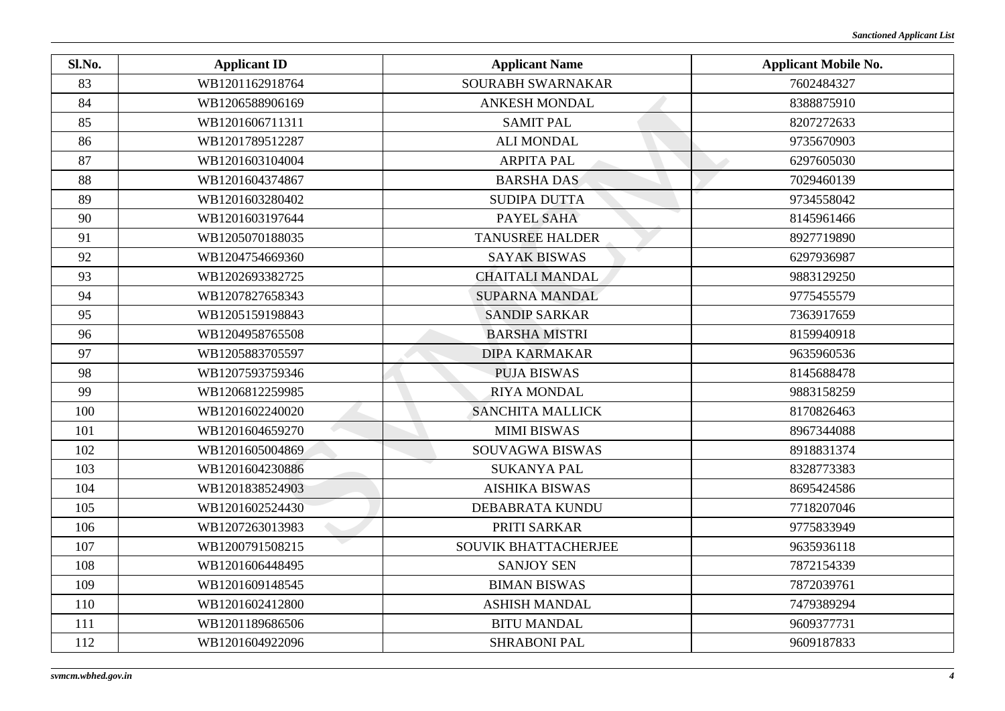| Sl.No. | <b>Applicant ID</b> | <b>Applicant Name</b>   | <b>Applicant Mobile No.</b> |
|--------|---------------------|-------------------------|-----------------------------|
| 83     | WB1201162918764     | SOURABH SWARNAKAR       | 7602484327                  |
| 84     | WB1206588906169     | <b>ANKESH MONDAL</b>    | 8388875910                  |
| 85     | WB1201606711311     | <b>SAMIT PAL</b>        | 8207272633                  |
| 86     | WB1201789512287     | <b>ALI MONDAL</b>       | 9735670903                  |
| 87     | WB1201603104004     | <b>ARPITA PAL</b>       | 6297605030                  |
| 88     | WB1201604374867     | <b>BARSHA DAS</b>       | 7029460139                  |
| 89     | WB1201603280402     | <b>SUDIPA DUTTA</b>     | 9734558042                  |
| 90     | WB1201603197644     | PAYEL SAHA              | 8145961466                  |
| 91     | WB1205070188035     | <b>TANUSREE HALDER</b>  | 8927719890                  |
| 92     | WB1204754669360     | <b>SAYAK BISWAS</b>     | 6297936987                  |
| 93     | WB1202693382725     | <b>CHAITALI MANDAL</b>  | 9883129250                  |
| 94     | WB1207827658343     | <b>SUPARNA MANDAL</b>   | 9775455579                  |
| 95     | WB1205159198843     | <b>SANDIP SARKAR</b>    | 7363917659                  |
| 96     | WB1204958765508     | <b>BARSHA MISTRI</b>    | 8159940918                  |
| 97     | WB1205883705597     | <b>DIPA KARMAKAR</b>    | 9635960536                  |
| 98     | WB1207593759346     | <b>PUJA BISWAS</b>      | 8145688478                  |
| 99     | WB1206812259985     | <b>RIYA MONDAL</b>      | 9883158259                  |
| 100    | WB1201602240020     | <b>SANCHITA MALLICK</b> | 8170826463                  |
| 101    | WB1201604659270     | <b>MIMI BISWAS</b>      | 8967344088                  |
| 102    | WB1201605004869     | SOUVAGWA BISWAS         | 8918831374                  |
| 103    | WB1201604230886     | <b>SUKANYA PAL</b>      | 8328773383                  |
| 104    | WB1201838524903     | <b>AISHIKA BISWAS</b>   | 8695424586                  |
| 105    | WB1201602524430     | DEBABRATA KUNDU         | 7718207046                  |
| 106    | WB1207263013983     | PRITI SARKAR            | 9775833949                  |
| 107    | WB1200791508215     | SOUVIK BHATTACHERJEE    | 9635936118                  |
| 108    | WB1201606448495     | <b>SANJOY SEN</b>       | 7872154339                  |
| 109    | WB1201609148545     | <b>BIMAN BISWAS</b>     | 7872039761                  |
| 110    | WB1201602412800     | <b>ASHISH MANDAL</b>    | 7479389294                  |
| 111    | WB1201189686506     | <b>BITU MANDAL</b>      | 9609377731                  |
| 112    | WB1201604922096     | <b>SHRABONI PAL</b>     | 9609187833                  |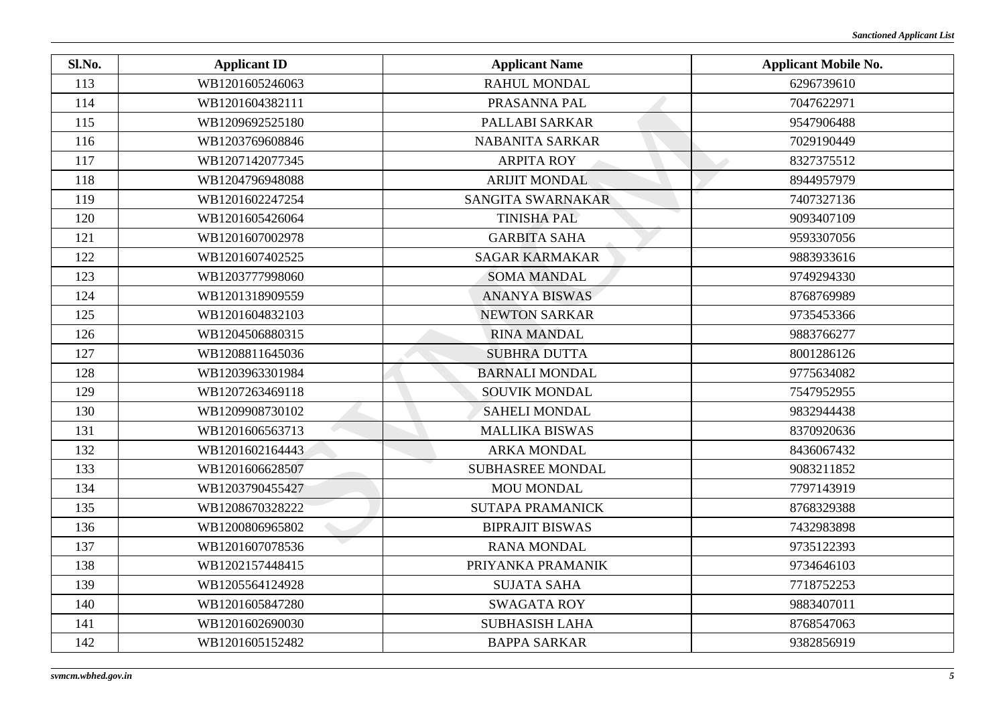| Sl.No. | <b>Applicant ID</b> | <b>Applicant Name</b>   | <b>Applicant Mobile No.</b> |
|--------|---------------------|-------------------------|-----------------------------|
| 113    | WB1201605246063     | <b>RAHUL MONDAL</b>     | 6296739610                  |
| 114    | WB1201604382111     | PRASANNA PAL            | 7047622971                  |
| 115    | WB1209692525180     | PALLABI SARKAR          | 9547906488                  |
| 116    | WB1203769608846     | <b>NABANITA SARKAR</b>  | 7029190449                  |
| 117    | WB1207142077345     | <b>ARPITA ROY</b>       | 8327375512                  |
| 118    | WB1204796948088     | <b>ARIJIT MONDAL</b>    | 8944957979                  |
| 119    | WB1201602247254     | SANGITA SWARNAKAR       | 7407327136                  |
| 120    | WB1201605426064     | <b>TINISHA PAL</b>      | 9093407109                  |
| 121    | WB1201607002978     | <b>GARBITA SAHA</b>     | 9593307056                  |
| 122    | WB1201607402525     | <b>SAGAR KARMAKAR</b>   | 9883933616                  |
| 123    | WB1203777998060     | <b>SOMA MANDAL</b>      | 9749294330                  |
| 124    | WB1201318909559     | <b>ANANYA BISWAS</b>    | 8768769989                  |
| 125    | WB1201604832103     | <b>NEWTON SARKAR</b>    | 9735453366                  |
| 126    | WB1204506880315     | <b>RINA MANDAL</b>      | 9883766277                  |
| 127    | WB1208811645036     | <b>SUBHRA DUTTA</b>     | 8001286126                  |
| 128    | WB1203963301984     | <b>BARNALI MONDAL</b>   | 9775634082                  |
| 129    | WB1207263469118     | <b>SOUVIK MONDAL</b>    | 7547952955                  |
| 130    | WB1209908730102     | <b>SAHELI MONDAL</b>    | 9832944438                  |
| 131    | WB1201606563713     | <b>MALLIKA BISWAS</b>   | 8370920636                  |
| 132    | WB1201602164443     | <b>ARKA MONDAL</b>      | 8436067432                  |
| 133    | WB1201606628507     | <b>SUBHASREE MONDAL</b> | 9083211852                  |
| 134    | WB1203790455427     | <b>MOU MONDAL</b>       | 7797143919                  |
| 135    | WB1208670328222     | <b>SUTAPA PRAMANICK</b> | 8768329388                  |
| 136    | WB1200806965802     | <b>BIPRAJIT BISWAS</b>  | 7432983898                  |
| 137    | WB1201607078536     | <b>RANA MONDAL</b>      | 9735122393                  |
| 138    | WB1202157448415     | PRIYANKA PRAMANIK       | 9734646103                  |
| 139    | WB1205564124928     | <b>SUJATA SAHA</b>      | 7718752253                  |
| 140    | WB1201605847280     | <b>SWAGATA ROY</b>      | 9883407011                  |
| 141    | WB1201602690030     | <b>SUBHASISH LAHA</b>   | 8768547063                  |
| 142    | WB1201605152482     | <b>BAPPA SARKAR</b>     | 9382856919                  |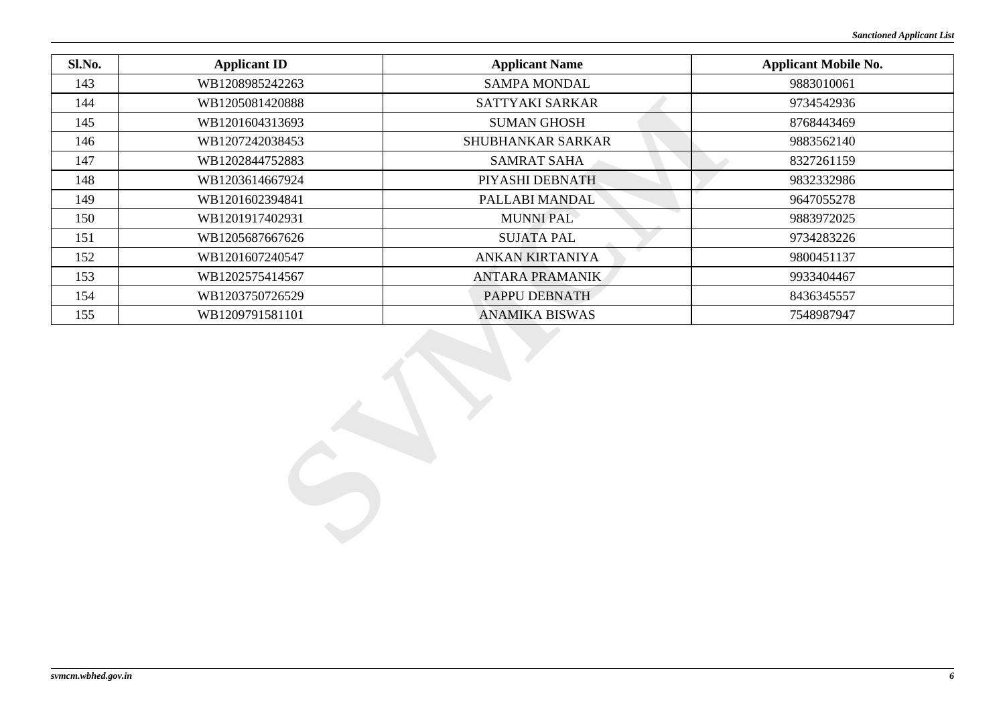| <b>Applicant ID</b> | <b>Applicant Name</b>  | <b>Applicant Mobile No.</b> |
|---------------------|------------------------|-----------------------------|
| WB1208985242263     | <b>SAMPA MONDAL</b>    | 9883010061                  |
| WB1205081420888     | <b>SATTYAKI SARKAR</b> | 9734542936                  |
| WB1201604313693     | <b>SUMAN GHOSH</b>     | 8768443469                  |
| WB1207242038453     | SHUBHANKAR SARKAR      | 9883562140                  |
| WB1202844752883     | <b>SAMRAT SAHA</b>     | 8327261159                  |
| WB1203614667924     | PIYASHI DEBNATH        | 9832332986                  |
| WB1201602394841     | PALLABI MANDAL         | 9647055278                  |
| WB1201917402931     | <b>MUNNI PAL</b>       | 9883972025                  |
| WB1205687667626     | <b>SUJATA PAL</b>      | 9734283226                  |
| WB1201607240547     | ANKAN KIRTANIYA        | 9800451137                  |
| WB1202575414567     | <b>ANTARA PRAMANIK</b> | 9933404467                  |
| WB1203750726529     | PAPPU DEBNATH          | 8436345557                  |
| WB1209791581101     | <b>ANAMIKA BISWAS</b>  | 7548987947                  |
|                     |                        |                             |
|                     |                        |                             |